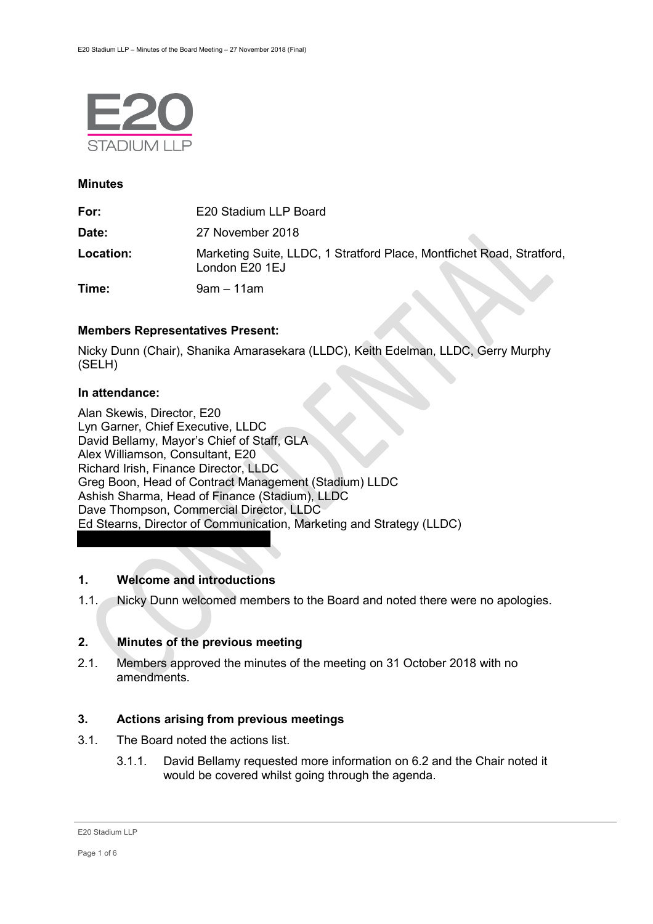

## **Minutes**

| For:      | E20 Stadium LLP Board                                                                   |
|-----------|-----------------------------------------------------------------------------------------|
| Date:     | 27 November 2018                                                                        |
| Location: | Marketing Suite, LLDC, 1 Stratford Place, Montfichet Road, Stratford,<br>London E20 1EJ |
| Time:     | $9$ am $-11$ am                                                                         |

## **Members Representatives Present:**

Nicky Dunn (Chair), Shanika Amarasekara (LLDC), Keith Edelman, LLDC, Gerry Murphy (SELH)

## **In attendance:**

Alan Skewis, Director, E20 Lyn Garner, Chief Executive, LLDC David Bellamy, Mayor's Chief of Staff, GLA Alex Williamson, Consultant, E20 Richard Irish, Finance Director, LLDC Greg Boon, Head of Contract Management (Stadium) LLDC Ashish Sharma, Head of Finance (Stadium), LLDC Dave Thompson, Commercial Director, LLDC Ed Stearns, Director of Communication, Marketing and Strategy (LLDC)

# **1. Welcome and introductions**

1.1. Nicky Dunn welcomed members to the Board and noted there were no apologies.

# **2. Minutes of the previous meeting**

2.1. Members approved the minutes of the meeting on 31 October 2018 with no amendments.

# **3. Actions arising from previous meetings**

- 3.1. The Board noted the actions list.
	- 3.1.1. David Bellamy requested more information on 6.2 and the Chair noted it would be covered whilst going through the agenda.

E20 Stadium LLP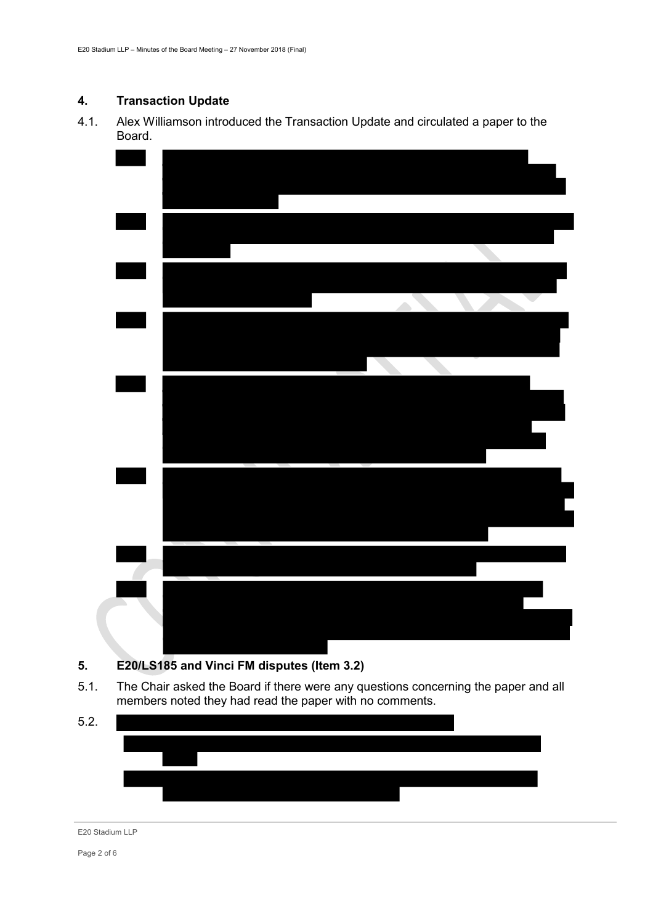# **4. Transaction Update**

4.1. Alex Williamson introduced the Transaction Update and circulated a paper to the Board.



- **5. E20/LS185 and Vinci FM disputes (Item 3.2)**
- 5.1. The Chair asked the Board if there were any questions concerning the paper and all members noted they had read the paper with no comments.



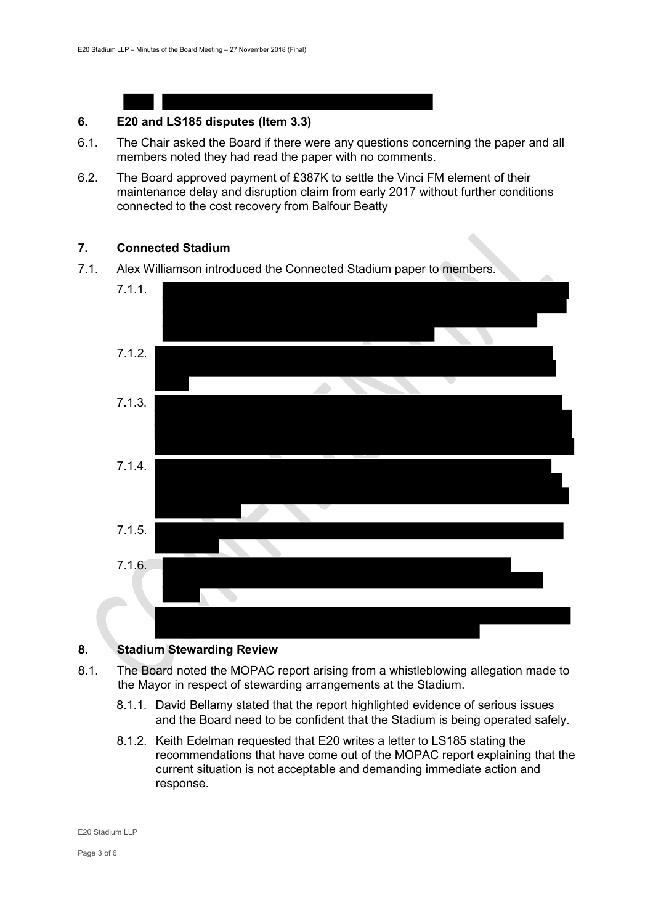#### **6. E20 and LS185 disputes (Item 3.3)**

- 6.1. The Chair asked the Board if there were any questions concerning the paper and all members noted they had read the paper with no comments.
- 6.2. The Board approved payment of £387K to settle the Vinci FM element of their maintenance delay and disruption claim from early 2017 without further conditions connected to the cost recovery from Balfour Beatty

## **7. Connected Stadium**

7.1. Alex Williamson introduced the Connected Stadium paper to members.



## **8. Stadium Stewarding Review**

- 8.1. The Board noted the MOPAC report arising from a whistleblowing allegation made to the Mayor in respect of stewarding arrangements at the Stadium.
	- 8.1.1. David Bellamy stated that the report highlighted evidence of serious issues and the Board need to be confident that the Stadium is being operated safely.
	- 8.1.2. Keith Edelman requested that E20 writes a letter to LS185 stating the recommendations that have come out of the MOPAC report explaining that the current situation is not acceptable and demanding immediate action and response.

#### E20 Stadium LLP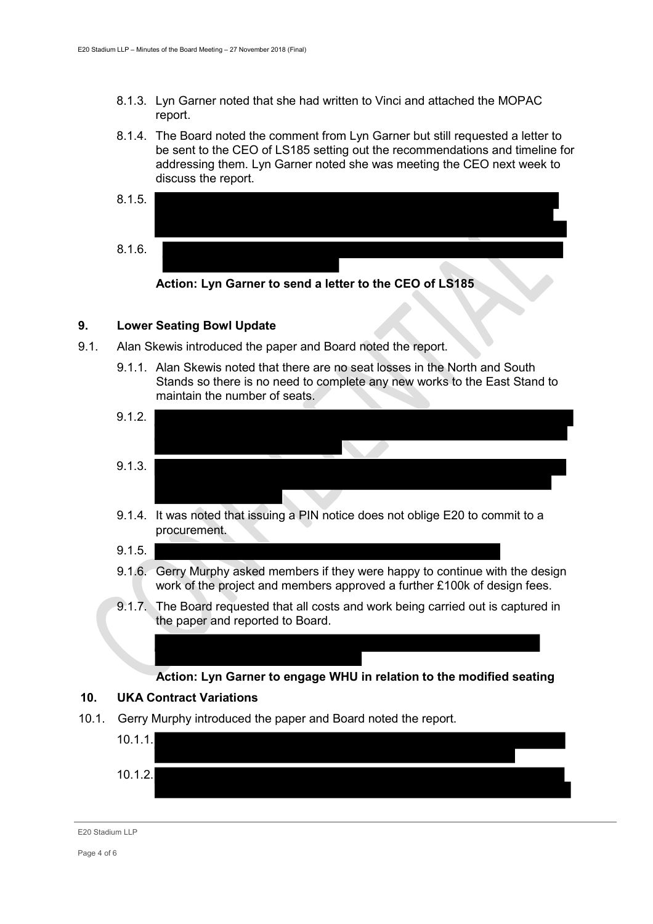- 8.1.3. Lyn Garner noted that she had written to Vinci and attached the MOPAC report.
- 8.1.4. The Board noted the comment from Lyn Garner but still requested a letter to be sent to the CEO of LS185 setting out the recommendations and timeline for addressing them. Lyn Garner noted she was meeting the CEO next week to discuss the report.





## **9. Lower Seating Bowl Update**

- 9.1. Alan Skewis introduced the paper and Board noted the report.
	- 9.1.1. Alan Skewis noted that there are no seat losses in the North and South Stands so there is no need to complete any new works to the East Stand to maintain the number of seats.
	- 9.1.2. 9.1.3.
	- 9.1.4. It was noted that issuing a PIN notice does not oblige E20 to commit to a procurement.
	- 9.1.5.
	- 9.1.6. Gerry Murphy asked members if they were happy to continue with the design work of the project and members approved a further £100k of design fees.
	- 9.1.7. The Board requested that all costs and work being carried out is captured in the paper and reported to Board.

## **Action: Lyn Garner to engage WHU in relation to the modified seating**

## **10. UKA Contract Variations**

10.1. Gerry Murphy introduced the paper and Board noted the report.



E20 Stadium LLP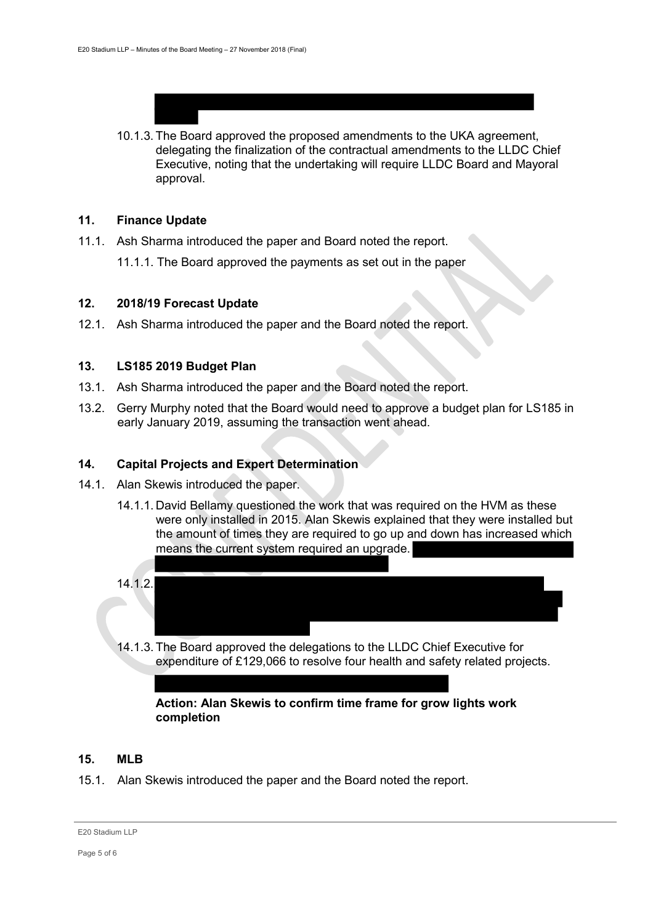10.1.3. The Board approved the proposed amendments to the UKA agreement, delegating the finalization of the contractual amendments to the LLDC Chief Executive, noting that the undertaking will require LLDC Board and Mayoral approval.

### **11. Finance Update**

- 11.1. Ash Sharma introduced the paper and Board noted the report.
	- 11.1.1. The Board approved the payments as set out in the paper

## **12. 2018/19 Forecast Update**

12.1. Ash Sharma introduced the paper and the Board noted the report.

## **13. LS185 2019 Budget Plan**

- 13.1. Ash Sharma introduced the paper and the Board noted the report.
- 13.2. Gerry Murphy noted that the Board would need to approve a budget plan for LS185 in early January 2019, assuming the transaction went ahead.

## **14. Capital Projects and Expert Determination**

- 14.1. Alan Skewis introduced the paper.
	- 14.1.1. David Bellamy questioned the work that was required on the HVM as these were only installed in 2015. Alan Skewis explained that they were installed but the amount of times they are required to go up and down has increased which means the current system required an upgrade.
	- 14.1.2.
		- 14.1.3. The Board approved the delegations to the LLDC Chief Executive for expenditure of £129,066 to resolve four health and safety related projects.

## **Action: Alan Skewis to confirm time frame for grow lights work completion**

#### **15. MLB**

15.1. Alan Skewis introduced the paper and the Board noted the report.

E20 Stadium LLP